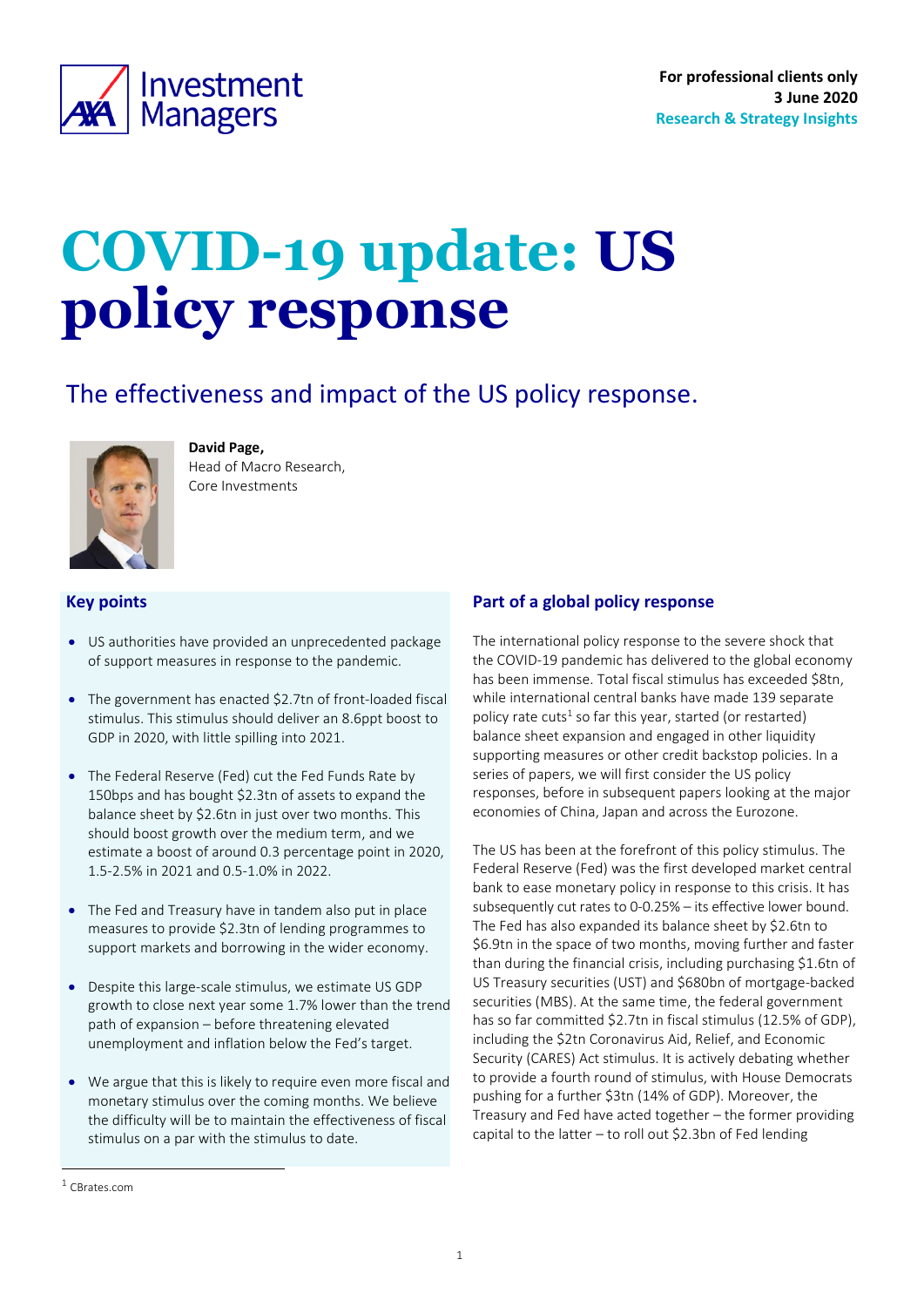<span id="page-0-0"></span>

# **COVID-19 update: US policy response**

# The effectiveness and impact of the US policy response.



**David Page,**  Head of Macro Research,

Core Investments

#### **Key points**

- US authorities have provided an unprecedented package of support measures in response to the pandemic.
- The government has enacted \$2.7tn of front-loaded fiscal stimulus. This stimulus should deliver an 8.6ppt boost to GDP in 2020, with little spilling into 2021.
- The Federal Reserve (Fed) cut the Fed Funds Rate by 150bps and has bought \$2.3tn of assets to expand the balance sheet by \$2.6tn in just over two months. This should boost growth over the medium term, and we estimate a boost of around 0.3 percentage point in 2020, 1.5-2.5% in 2021 and 0.5-1.0% in 2022.
- The Fed and Treasury have in tandem also put in place measures to provide \$2.3tn of lending programmes to support markets and borrowing in the wider economy.
- Despite this large-scale stimulus, we estimate US GDP growth to close next year some 1.7% lower than the trend path of expansion – before threatening elevated unemployment and inflation below the Fed's target.
- We argue that this is likely to require even more fiscal and monetary stimulus over the coming months. We believe the difficulty will be to maintain the effectiveness of fiscal stimulus on a par with the stimulus to date.

The international policy response to the severe shock that the COVID-19 pandemic has delivered to the global economy has been immense. Total fiscal stimulus has exceeded \$8tn, while international central banks have made 139 separate policy rate cuts<sup>1</sup> so far this year, started (or restarted) balance sheet expansion and engaged in other liquidity supporting measures or other credit backstop policies. In a series of papers, we will first consider the US policy responses, before in subsequent papers looking at the major economies of China, Japan and across the Eurozone.

The US has been at the forefront of this policy stimulus. The Federal Reserve (Fed) was the first developed market central bank to ease monetary policy in response to this crisis. It has subsequently cut rates to 0-0.25% – its effective lower bound. The Fed has also expanded its balance sheet by \$2.6tn to \$6.9tn in the space of two months, moving further and faster than during the financial crisis, including purchasing \$1.6tn of US Treasury securities (UST) and \$680bn of mortgage-backed securities (MBS). At the same time, the federal government has so far committed \$2.7tn in fiscal stimulus (12.5% of GDP), including the \$2tn Coronavirus Aid, Relief, and Economic Security (CARES) Act stimulus. It is actively debating whether to provide a fourth round of stimulus, with House Democrats pushing for a further \$3tn (14% of GDP). Moreover, the Treasury and Fed have acted together – the former providing capital to the latter – to roll out \$2.3bn of Fed lending

**Part of a global policy response**

<sup>1</sup> CBrates.com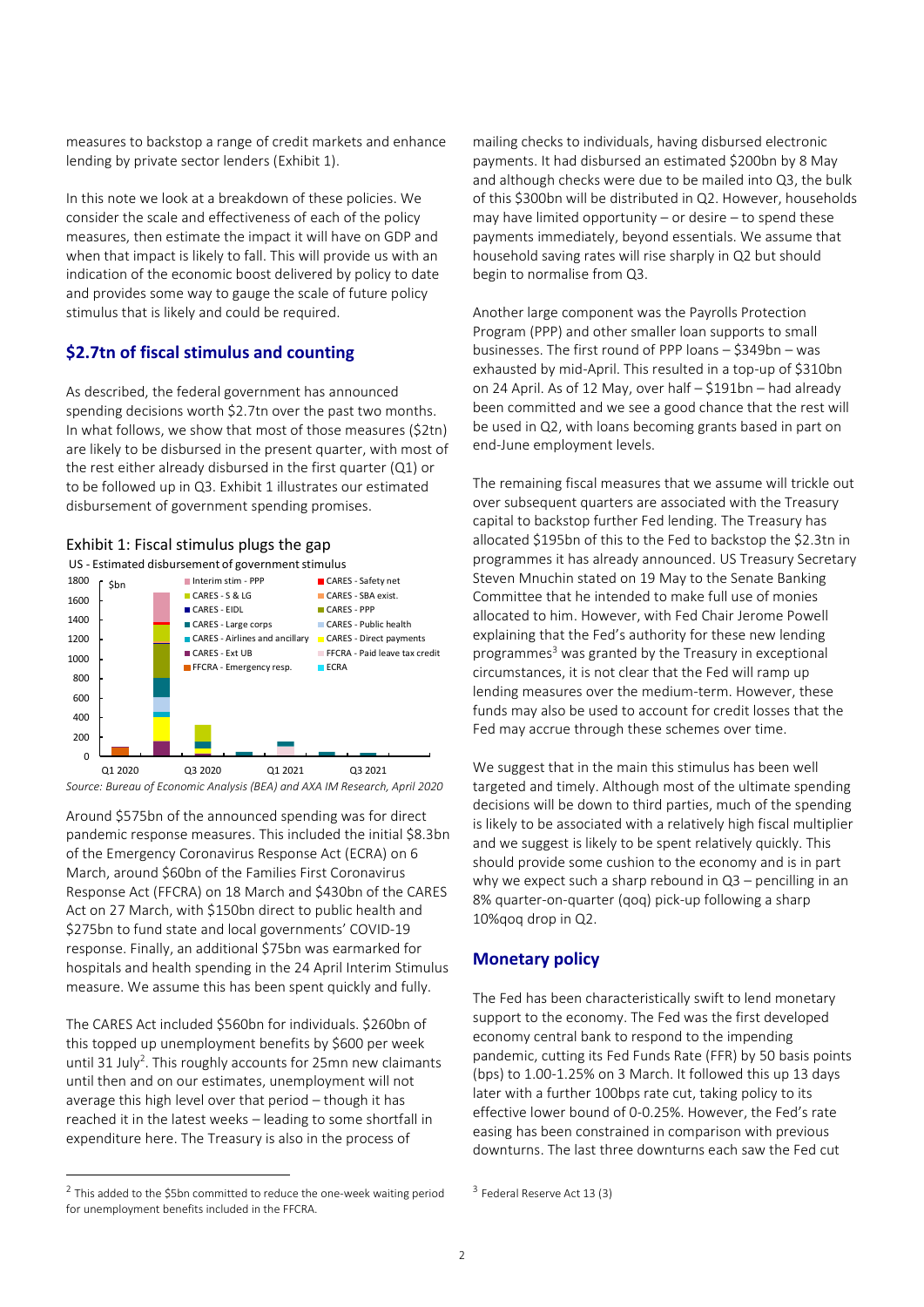measures to backstop a range of credit markets and enhance lending by private sector lenders [\(Exhibit 1\)](#page-1-0).

In this note we look at a breakdown of these policies. We consider the scale and effectiveness of each of the policy measures, then estimate the impact it will have on GDP and when that impact is likely to fall. This will provide us with an indication of the economic boost delivered by policy to date and provides some way to gauge the scale of future policy stimulus that is likely and could be required.

# **\$2.7tn of fiscal stimulus and counting**

As described, the federal government has announced spending decisions worth \$2.7tn over the past two months. In what follows, we show that most of those measures (\$2tn) are likely to be disbursed in the present quarter, with most of the rest either already disbursed in the first quarter (Q1) or to be followed up in Q3. [Exhibit 1](#page-1-0) illustrates our estimated disbursement of government spending promises.

### <span id="page-1-0"></span>Exhibit 1: Fiscal stimulus plugs the gap



*Source: Bureau of Economic Analysis (BEA) and AXA IM Research, April 2020*

Around \$575bn of the announced spending was for direct pandemic response measures. This included the initial \$8.3bn of the Emergency Coronavirus Response Act (ECRA) on 6 March, around \$60bn of the Families First Coronavirus Response Act (FFCRA) on 18 March and \$430bn of the CARES Act on 27 March, with \$150bn direct to public health and \$275bn to fund state and local governments' COVID-19 response. Finally, an additional \$75bn was earmarked for hospitals and health spending in the 24 April Interim Stimulus measure. We assume this has been spent quickly and fully.

The CARES Act included \$560bn for individuals. \$260bn of this topped up unemployment benefits by \$600 per week until 31 July<sup>2</sup>. This roughly accounts for 25mn new claimants until then and on our estimates, unemployment will not average this high level over that period – though it has reached it in the latest weeks – leading to some shortfall in expenditure here. The Treasury is also in the process of

mailing checks to individuals, having disbursed electronic payments. It had disbursed an estimated \$200bn by 8 May and although checks were due to be mailed into Q3, the bulk of this \$300bn will be distributed in Q2. However, households may have limited opportunity – or desire – to spend these payments immediately, beyond essentials. We assume that household saving rates will rise sharply in Q2 but should begin to normalise from Q3.

Another large component was the Payrolls Protection Program (PPP) and other smaller loan supports to small businesses. The first round of PPP loans – \$349bn – was exhausted by mid-April. This resulted in a top-up of \$310bn on 24 April. As of 12 May, over half – \$191bn – had already been committed and we see a good chance that the rest will be used in Q2, with loans becoming grants based in part on end-June employment levels.

The remaining fiscal measures that we assume will trickle out over subsequent quarters are associated with the Treasury capital to backstop further Fed lending. The Treasury has allocated \$195bn of this to the Fed to backstop the \$2.3tn in programmes it has already announced. US Treasury Secretary Steven Mnuchin stated on 19 May to the Senate Banking Committee that he intended to make full use of monies allocated to him. However, with Fed Chair Jerome Powell explaining that the Fed's authority for these new lending programmes<sup>3</sup> was granted by the Treasury in exceptional circumstances, it is not clear that the Fed will ramp up lending measures over the medium-term. However, these funds may also be used to account for credit losses that the Fed may accrue through these schemes over time.

We suggest that in the main this stimulus has been well targeted and timely. Although most of the ultimate spending decisions will be down to third parties, much of the spending is likely to be associated with a relatively high fiscal multiplier and we suggest is likely to be spent relatively quickly. This should provide some cushion to the economy and is in part why we expect such a sharp rebound in Q3 – pencilling in an 8% quarter-on-quarter (qoq) pick-up following a sharp 10%qoq drop in Q2.

## **Monetary policy**

The Fed has been characteristically swift to lend monetary support to the economy. The Fed was the first developed economy central bank to respond to the impending pandemic, cutting its Fed Funds Rate (FFR) by 50 basis points (bps) to 1.00-1.25% on 3 March. It followed this up 13 days later with a further 100bps rate cut, taking policy to its effective lower bound of 0-0.25%. However, the Fed's rate easing has been constrained in comparison with previous downturns. The last three downturns each saw the Fed cut

 $2$  This added to the \$5bn committed to reduce the one-week waiting period for unemployment benefits included in the FFCRA.

<sup>&</sup>lt;sup>3</sup> Federal Reserve Act 13 (3)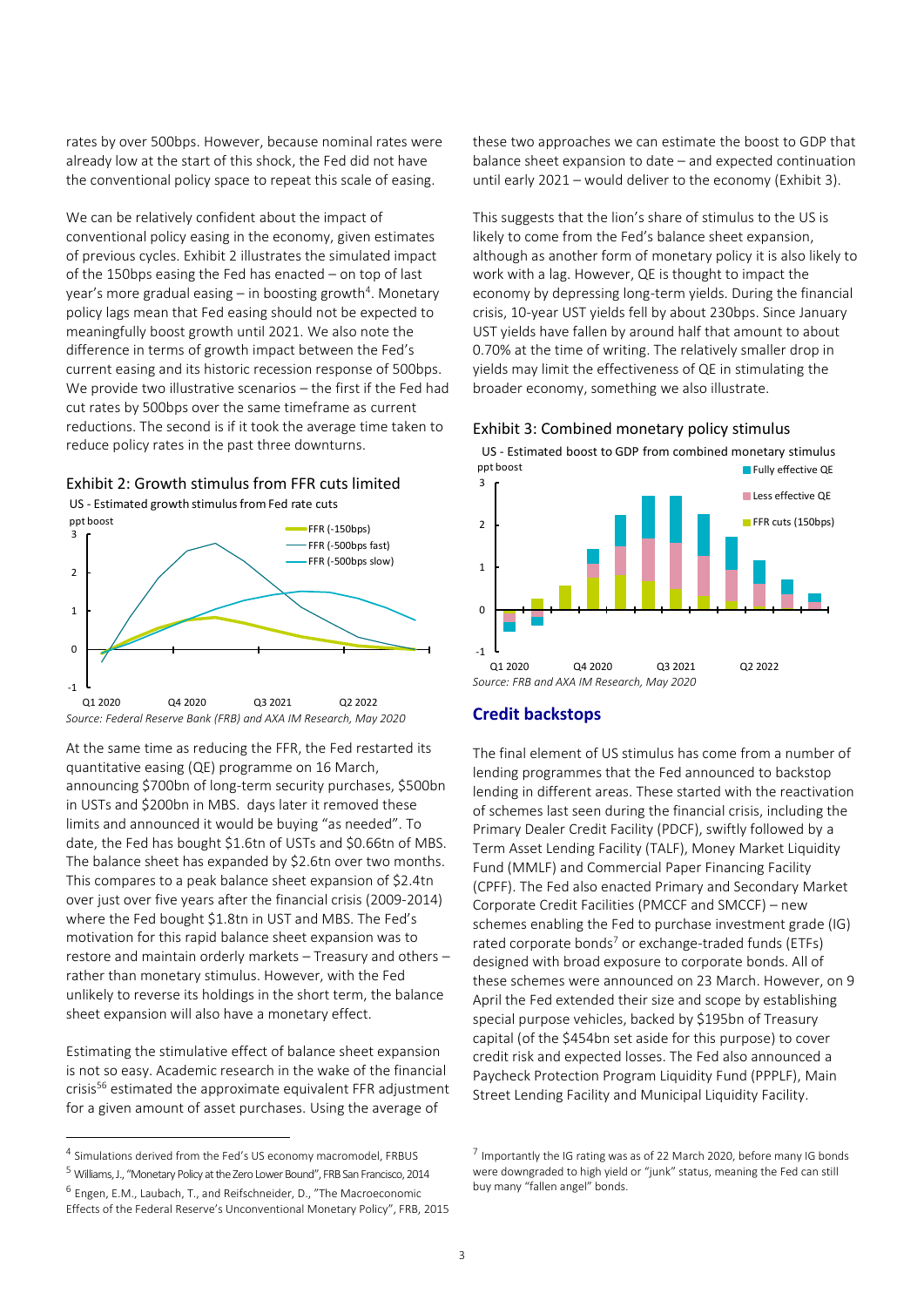rates by over 500bps. However, because nominal rates were already low at the start of this shock, the Fed did not have the conventional policy space to repeat this scale of easing.

We can be relatively confident about the impact of conventional policy easing in the economy, given estimates of previous cycles[. Exhibit 2](#page-2-0) illustrates the simulated impact of the 150bps easing the Fed has enacted – on top of last year's more gradual easing – in boosting growth<sup>4</sup>. Monetary policy lags mean that Fed easing should not be expected to meaningfully boost growth until 2021. We also note the difference in terms of growth impact between the Fed's current easing and its historic recession response of 500bps. We provide two illustrative scenarios – the first if the Fed had cut rates by 500bps over the same timeframe as current reductions. The second is if it took the average time taken to reduce policy rates in the past three downturns.

### <span id="page-2-0"></span>Exhibit 2: Growth stimulus from FFR cuts limited

US - Estimated growth stimulus from Fed rate cuts



*Source: Federal Reserve Bank (FRB) and AXA IM Research, May 2020*

At the same time as reducing the FFR, the Fed restarted its quantitative easing (QE) programme on 16 March, announcing \$700bn of long-term security purchases, \$500bn in USTs and \$200bn in MBS. days later it removed these limits and announced it would be buying "as needed". To date, the Fed has bought \$1.6tn of USTs and \$0.66tn of MBS. The balance sheet has expanded by \$2.6tn over two months. This compares to a peak balance sheet expansion of \$2.4tn over just over five years after the financial crisis (2009-2014) where the Fed bought \$1.8tn in UST and MBS. The Fed's motivation for this rapid balance sheet expansion was to restore and maintain orderly markets – Treasury and others – rather than monetary stimulus. However, with the Fed unlikely to reverse its holdings in the short term, the balance sheet expansion will also have a monetary effect.

Estimating the stimulative effect of balance sheet expansion is not so easy. Academic research in the wake of the financial crisis<sup>56</sup> estimated the approximate equivalent FFR adjustment for a given amount of asset purchases. Using the average of

these two approaches we can estimate the boost to GDP that balance sheet expansion to date – and expected continuation until early 2021 – would deliver to the economy [\(Exhibit 3\)](#page-2-1).

This suggests that the lion's share of stimulus to the US is likely to come from the Fed's balance sheet expansion, although as another form of monetary policy it is also likely to work with a lag. However, QE is thought to impact the economy by depressing long-term yields. During the financial crisis, 10-year UST yields fell by about 230bps. Since January UST yields have fallen by around half that amount to about 0.70% at the time of writing. The relatively smaller drop in yields may limit the effectiveness of QE in stimulating the broader economy, something we also illustrate.

<span id="page-2-1"></span>

ppt boost and the property of the Fully effective QE US - Estimated boost to GDP from combined monetary stimulus



#### **Credit backstops**

The final element of US stimulus has come from a number of lending programmes that the Fed announced to backstop lending in different areas. These started with the reactivation of schemes last seen during the financial crisis, including the Primary Dealer Credit Facility (PDCF), swiftly followed by a Term Asset Lending Facility (TALF), Money Market Liquidity Fund (MMLF) and Commercial Paper Financing Facility (CPFF). The Fed also enacted Primary and Secondary Market Corporate Credit Facilities (PMCCF and SMCCF) – new schemes enabling the Fed to purchase investment grade (IG) rated corporate bonds<sup>7</sup> or exchange-traded funds (ETFs) designed with broad exposure to corporate bonds. All of these schemes were announced on 23 March. However, on 9 April the Fed extended their size and scope by establishing special purpose vehicles, backed by \$195bn of Treasury capital (of the \$454bn set aside for this purpose) to cover credit risk and expected losses. The Fed also announced a Paycheck Protection Program Liquidity Fund (PPPLF), Main Street Lending Facility and Municipal Liquidity Facility.

<sup>&</sup>lt;sup>4</sup> Simulations derived from the Fed's US economy macromodel, FRBUS

<sup>5</sup> Williams, J., "Monetary Policy at the Zero Lower Bound", FRB San Francisco, 2014

<sup>6</sup> Engen, E.M., Laubach, T., and Reifschneider, D., "The Macroeconomic Effects of the Federal Reserve's Unconventional Monetary Policy", FRB, 2015

<sup>&</sup>lt;sup>7</sup> Importantly the IG rating was as of 22 March 2020, before many IG bonds were downgraded to high yield or "junk" status, meaning the Fed can still buy many "fallen angel" bonds.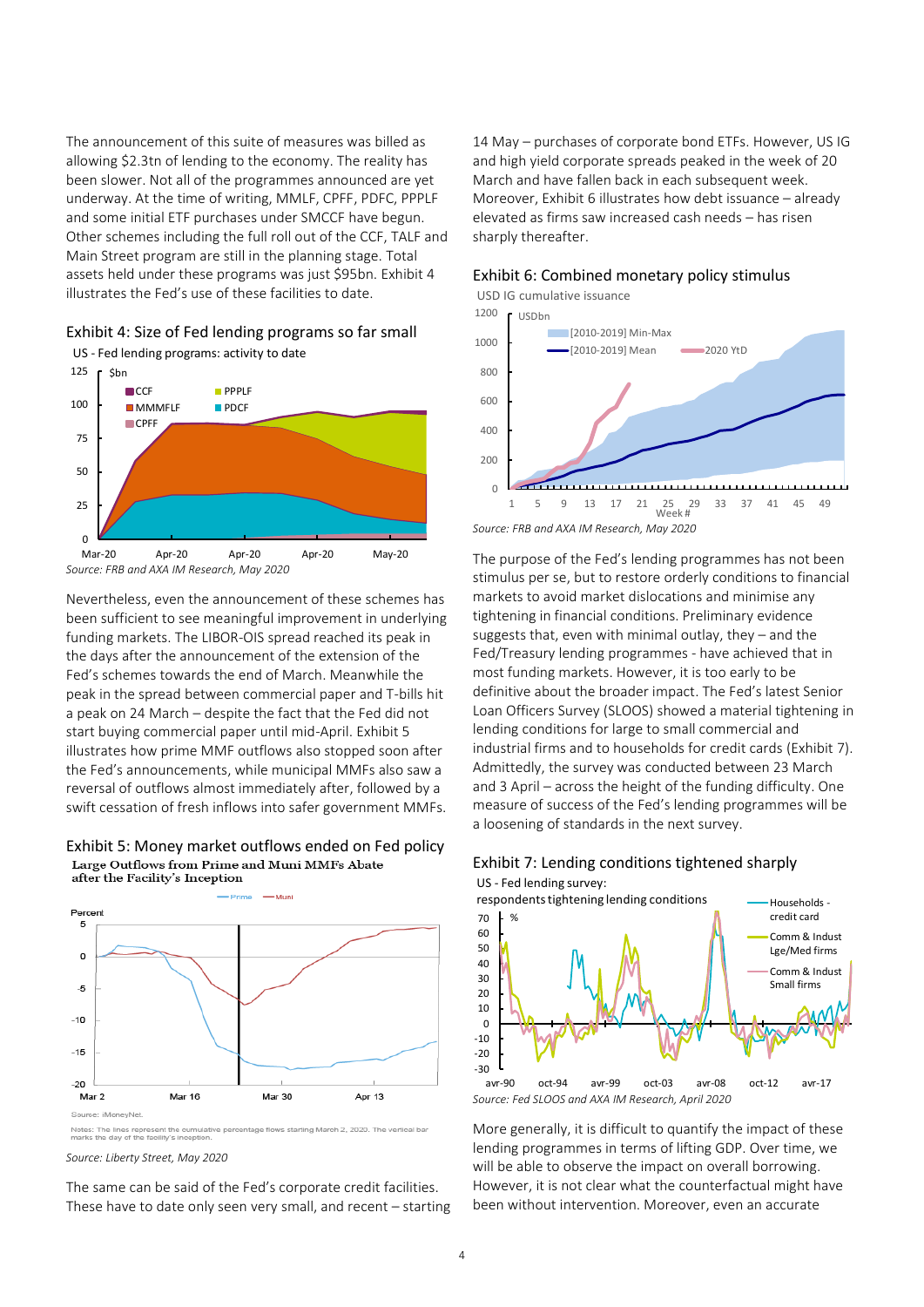The announcement of this suite of measures was billed as allowing \$2.3tn of lending to the economy. The reality has been slower. Not all of the programmes announced are yet underway. At the time of writing, MMLF, CPFF, PDFC, PPPLF and some initial ETF purchases under SMCCF have begun. Other schemes including the full roll out of the CCF, TALF and Main Street program are still in the planning stage. Total assets held under these programs was just \$95bn[. Exhibit 4](#page-3-0) illustrates the Fed's use of these facilities to date.

<span id="page-3-0"></span>



Nevertheless, even the announcement of these schemes has been sufficient to see meaningful improvement in underlying funding markets. The LIBOR-OIS spread reached its peak in the days after the announcement of the extension of the Fed's schemes towards the end of March. Meanwhile the peak in the spread between commercial paper and T-bills hit a peak on 24 March – despite the fact that the Fed did not start buying commercial paper until mid-April[. Exhibit 5](#page-3-1) illustrates how prime MMF outflows also stopped soon after the Fed's announcements, while municipal MMFs also saw a reversal of outflows almost immediately after, followed by a swift cessation of fresh inflows into safer government MMFs.

# <span id="page-3-1"></span>Exhibit 5: Money market outflows ended on Fed policy<br>Large Outflows from Prime and Muni MMFs Abate after the Facility's Inception



tage flows starting March 2, 2020. The vertical bar Notes: The lines represent the oner that

*Source: Liberty Street, May 2020*

The same can be said of the Fed's corporate credit facilities. These have to date only seen very small, and recent – starting

14 May – purchases of corporate bond ETFs. However, US IG and high yield corporate spreads peaked in the week of 20 March and have fallen back in each subsequent week. Moreover[, Exhibit 6](#page-3-2) illustrates how debt issuance – already elevated as firms saw increased cash needs – has risen sharply thereafter.

#### <span id="page-3-2"></span>Exhibit 6: Combined monetary policy stimulus

USD IG cumulative issuance



*Source: FRB and AXA IM Research, May 2020*

The purpose of the Fed's lending programmes has not been stimulus per se, but to restore orderly conditions to financial markets to avoid market dislocations and minimise any tightening in financial conditions. Preliminary evidence suggests that, even with minimal outlay, they – and the Fed/Treasury lending programmes - have achieved that in most funding markets. However, it is too early to be definitive about the broader impact. The Fed's latest Senior Loan Officers Survey (SLOOS) showed a material tightening in lending conditions for large to small commercial and industrial firms and to households for credit cards [\(Exhibit 7\)](#page-3-3). Admittedly, the survey was conducted between 23 March and 3 April – across the height of the funding difficulty. One measure of success of the Fed's lending programmes will be a loosening of standards in the next survey.

<span id="page-3-3"></span>



*Source: Fed SLOOS and AXA IM Research, April 2020*

More generally, it is difficult to quantify the impact of these lending programmes in terms of lifting GDP. Over time, we will be able to observe the impact on overall borrowing. However, it is not clear what the counterfactual might have been without intervention. Moreover, even an accurate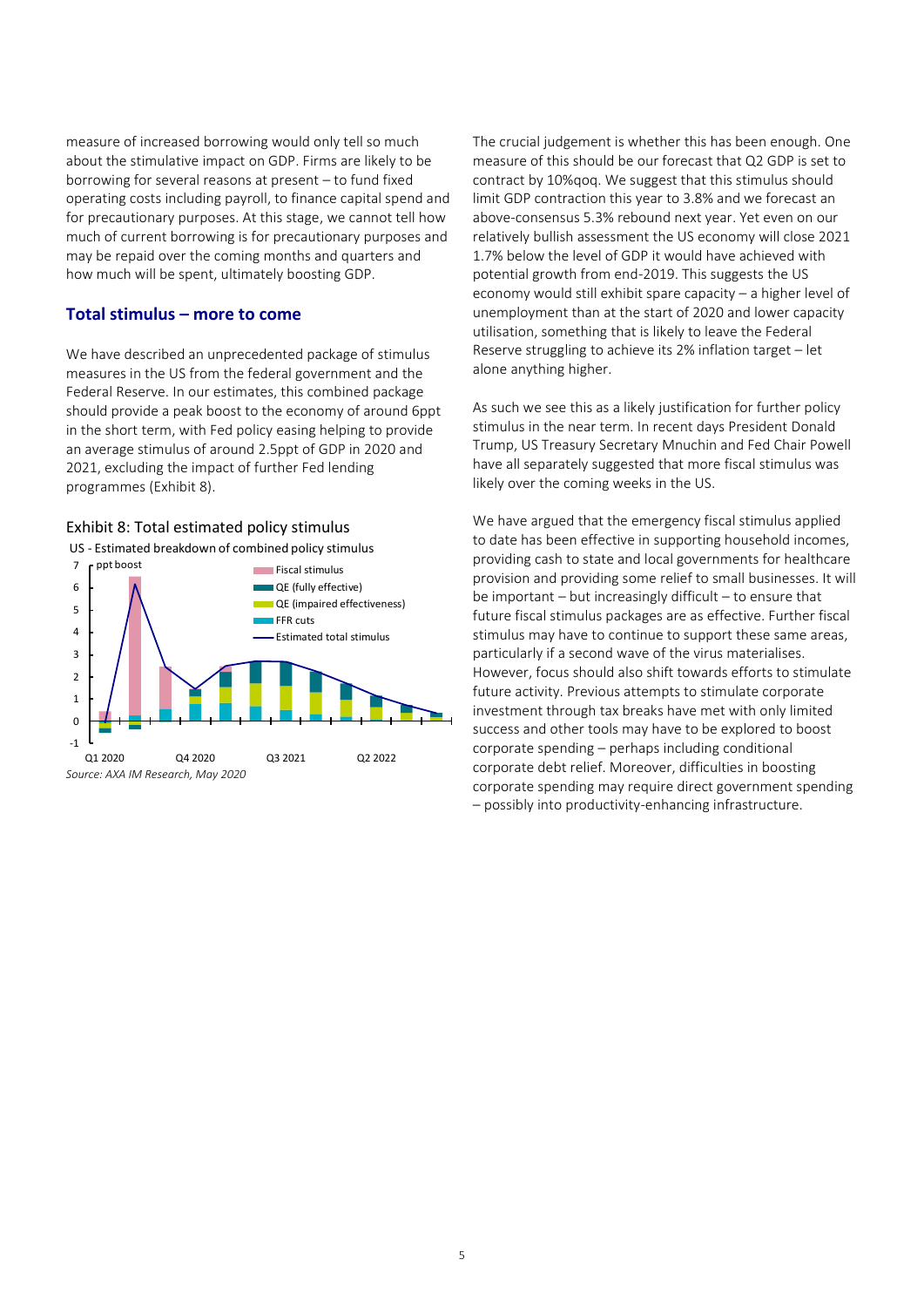measure of increased borrowing would only tell so much about the stimulative impact on GDP. Firms are likely to be borrowing for several reasons at present – to fund fixed operating costs including payroll, to finance capital spend and for precautionary purposes. At this stage, we cannot tell how much of current borrowing is for precautionary purposes and may be repaid over the coming months and quarters and how much will be spent, ultimately boosting GDP.

#### **Total stimulus – more to come**

We have described an unprecedented package of stimulus measures in the US from the federal government and the Federal Reserve. In our estimates, this combined package should provide a peak boost to the economy of around 6ppt in the short term, with Fed policy easing helping to provide an average stimulus of around 2.5ppt of GDP in 2020 and 2021, excluding the impact of further Fed lending programmes [\(Exhibit 8\)](#page-4-0).

#### <span id="page-4-0"></span>Exhibit 8: Total estimated policy stimulus



The crucial judgement is whether this has been enough. One measure of this should be our forecast that Q2 GDP is set to contract by 10%qoq. We suggest that this stimulus should limit GDP contraction this year to 3.8% and we forecast an above-consensus 5.3% rebound next year. Yet even on our relatively bullish assessment the US economy will close 2021 1.7% below the level of GDP it would have achieved with potential growth from end-2019. This suggests the US economy would still exhibit spare capacity – a higher level of unemployment than at the start of 2020 and lower capacity utilisation, something that is likely to leave the Federal Reserve struggling to achieve its 2% inflation target – let alone anything higher.

As such we see this as a likely justification for further policy stimulus in the near term. In recent days President Donald Trump, US Treasury Secretary Mnuchin and Fed Chair Powell have all separately suggested that more fiscal stimulus was likely over the coming weeks in the US.

We have argued that the emergency fiscal stimulus applied to date has been effective in supporting household incomes, providing cash to state and local governments for healthcare provision and providing some relief to small businesses. It will be important – but increasingly difficult – to ensure that future fiscal stimulus packages are as effective. Further fiscal stimulus may have to continue to support these same areas, particularly if a second wave of the virus materialises. However, focus should also shift towards efforts to stimulate future activity. Previous attempts to stimulate corporate investment through tax breaks have met with only limited success and other tools may have to be explored to boost corporate spending – perhaps including conditional corporate debt relief. Moreover, difficulties in boosting corporate spending may require direct government spending – possibly into productivity-enhancing infrastructure.